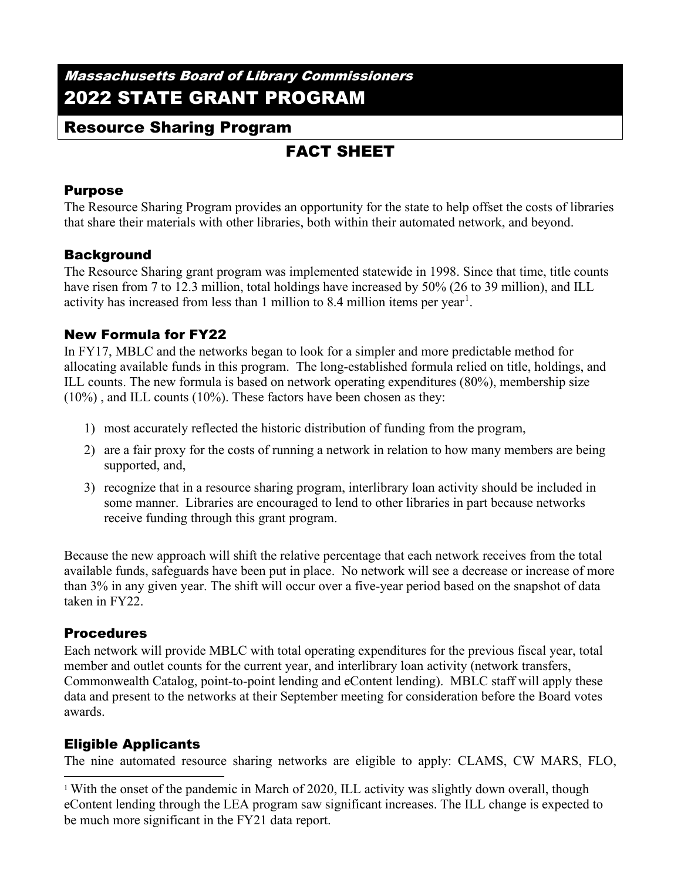# Massachusetts Board of Library Commissioners 2022 STATE GRANT PROGRAM

## Resource Sharing Program

# FACT SHEET

#### Purpose

The Resource Sharing Program provides an opportunity for the state to help offset the costs of libraries that share their materials with other libraries, both within their automated network, and beyond.

#### Background

The Resource Sharing grant program was implemented statewide in 1998. Since that time, title counts have risen from 7 to 12.3 million, total holdings have increased by 50% (26 to 39 million), and ILL activity has increased from less than [1](#page-0-0) million to 8.4 million items per year<sup>1</sup>.

## New Formula for FY22

In FY17, MBLC and the networks began to look for a simpler and more predictable method for allocating available funds in this program. The long-established formula relied on title, holdings, and ILL counts. The new formula is based on network operating expenditures (80%), membership size (10%) , and ILL counts (10%). These factors have been chosen as they:

- 1) most accurately reflected the historic distribution of funding from the program,
- 2) are a fair proxy for the costs of running a network in relation to how many members are being supported, and,
- 3) recognize that in a resource sharing program, interlibrary loan activity should be included in some manner. Libraries are encouraged to lend to other libraries in part because networks receive funding through this grant program.

Because the new approach will shift the relative percentage that each network receives from the total available funds, safeguards have been put in place. No network will see a decrease or increase of more than 3% in any given year. The shift will occur over a five-year period based on the snapshot of data taken in FY22.

#### **Procedures**

Each network will provide MBLC with total operating expenditures for the previous fiscal year, total member and outlet counts for the current year, and interlibrary loan activity (network transfers, Commonwealth Catalog, point-to-point lending and eContent lending). MBLC staff will apply these data and present to the networks at their September meeting for consideration before the Board votes awards.

## Eligible Applicants

The nine automated resource sharing networks are eligible to apply: CLAMS, CW MARS, FLO,

<span id="page-0-0"></span><sup>&</sup>lt;sup>1</sup> With the onset of the pandemic in March of 2020, ILL activity was slightly down overall, though eContent lending through the LEA program saw significant increases. The ILL change is expected to be much more significant in the FY21 data report.